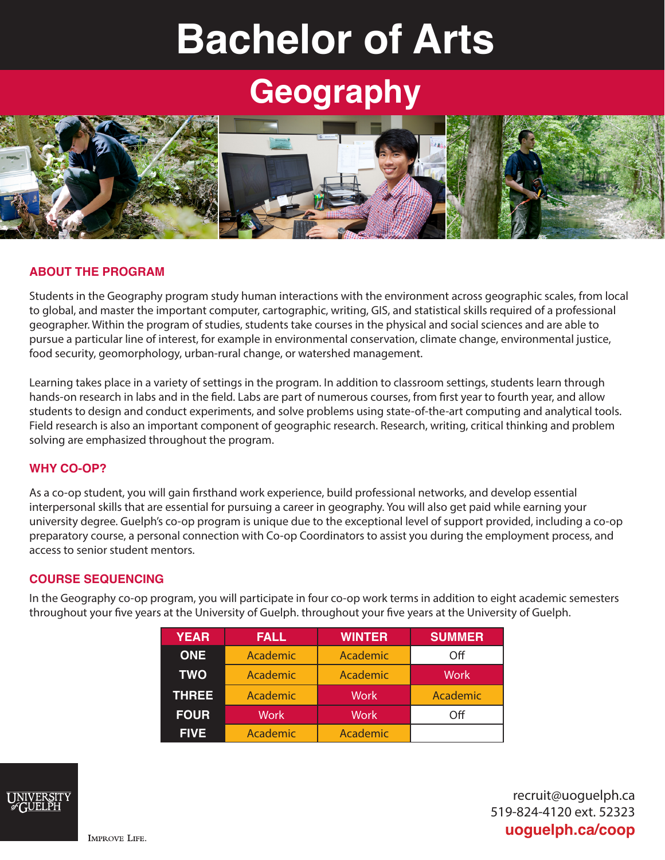# **Bachelor of Arts**

## **Geography**



#### **ABOUT THE PROGRAM**

Students in the Geography program study human interactions with the environment across geographic scales, from local to global, and master the important computer, cartographic, writing, GIS, and statistical skills required of a professional geographer. Within the program of studies, students take courses in the physical and social sciences and are able to pursue a particular line of interest, for example in environmental conservation, climate change, environmental justice, food security, geomorphology, urban-rural change, or watershed management.

Learning takes place in a variety of settings in the program. In addition to classroom settings, students learn through hands-on research in labs and in the field. Labs are part of numerous courses, from first year to fourth year, and allow students to design and conduct experiments, and solve problems using state-of-the-art computing and analytical tools. Field research is also an important component of geographic research. Research, writing, critical thinking and problem solving are emphasized throughout the program.

#### **WHY CO-OP?**

As a co-op student, you will gain firsthand work experience, build professional networks, and develop essential interpersonal skills that are essential for pursuing a career in geography. You will also get paid while earning your university degree. Guelph's co-op program is unique due to the exceptional level of support provided, including a co-op preparatory course, a personal connection with Co-op Coordinators to assist you during the employment process, and access to senior student mentors.

#### **COURSE SEQUENCING**

In the Geography co-op program, you will participate in four co-op work terms in addition to eight academic semesters throughout your five years at the University of Guelph. throughout your five years at the University of Guelph.

| <b>YEAR</b>  | <b>FALL</b> | <b>WINTER</b> | <b>SUMMER</b> |
|--------------|-------------|---------------|---------------|
| <b>ONE</b>   | Academic    | Academic      | Off           |
| <b>TWO</b>   | Academic    | Academic      | Work          |
| <b>THREE</b> | Academic    | <b>Work</b>   | Academic      |
| <b>FOUR</b>  | <b>Work</b> | <b>Work</b>   | Off           |
| <b>FIVE!</b> | Academic    | Academic      |               |



recruit@uoguelph.ca 519-824-4120 ext. 52323 **uoguelph.ca/coop**